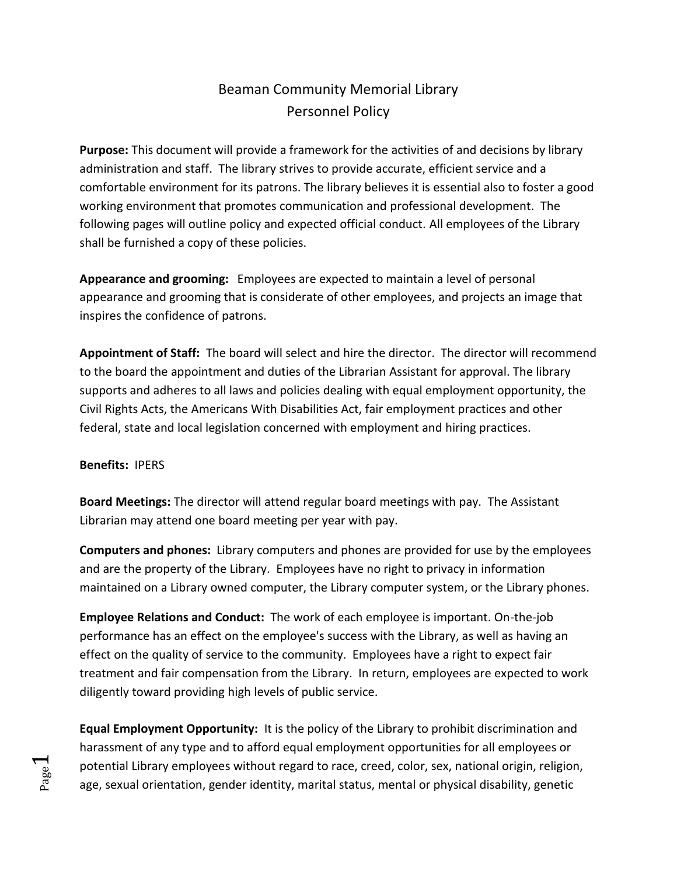# Beaman Community Memorial Library Personnel Policy

**Purpose:** This document will provide a framework for the activities of and decisions by library administration and staff. The library strives to provide accurate, efficient service and a comfortable environment for its patrons. The library believes it is essential also to foster a good working environment that promotes communication and professional development. The following pages will outline policy and expected official conduct. All employees of the Library shall be furnished a copy of these policies.

**Appearance and grooming:** Employees are expected to maintain a level of personal appearance and grooming that is considerate of other employees, and projects an image that inspires the confidence of patrons.

**Appointment of Staff:** The board will select and hire the director. The director will recommend to the board the appointment and duties of the Librarian Assistant for approval. The library supports and adheres to all laws and policies dealing with equal employment opportunity, the Civil Rights Acts, the Americans With Disabilities Act, fair employment practices and other federal, state and local legislation concerned with employment and hiring practices.

#### **Benefits:** IPERS

**Board Meetings:** The director will attend regular board meetings with pay. The Assistant Librarian may attend one board meeting per year with pay.

**Computers and phones:** Library computers and phones are provided for use by the employees and are the property of the Library. Employees have no right to privacy in information maintained on a Library owned computer, the Library computer system, or the Library phones.

**Employee Relations and Conduct:** The work of each employee is important. On-the-job performance has an effect on the employee's success with the Library, as well as having an effect on the quality of service to the community. Employees have a right to expect fair treatment and fair compensation from the Library. In return, employees are expected to work diligently toward providing high levels of public service.

**Equal Employment Opportunity:** It is the policy of the Library to prohibit discrimination and harassment of any type and to afford equal employment opportunities for all employees or potential Library employees without regard to race, creed, color, sex, national origin, religion, age, sexual orientation, gender identity, marital status, mental or physical disability, genetic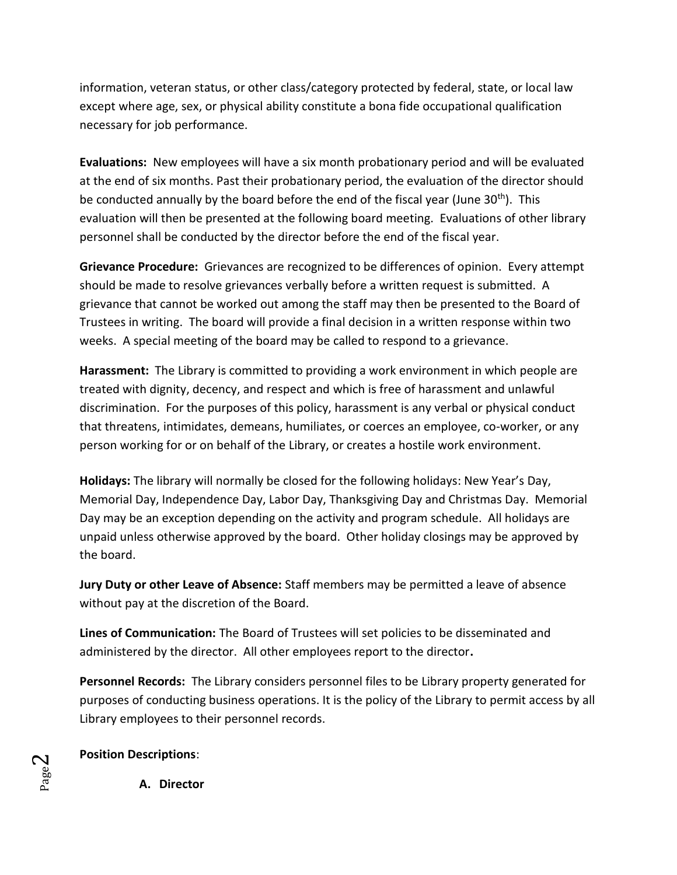information, veteran status, or other class/category protected by federal, state, or local law except where age, sex, or physical ability constitute a bona fide occupational qualification necessary for job performance.

**Evaluations:** New employees will have a six month probationary period and will be evaluated at the end of six months. Past their probationary period, the evaluation of the director should be conducted annually by the board before the end of the fiscal year (June 30<sup>th</sup>). This evaluation will then be presented at the following board meeting. Evaluations of other library personnel shall be conducted by the director before the end of the fiscal year.

**Grievance Procedure:** Grievances are recognized to be differences of opinion. Every attempt should be made to resolve grievances verbally before a written request is submitted. A grievance that cannot be worked out among the staff may then be presented to the Board of Trustees in writing. The board will provide a final decision in a written response within two weeks. A special meeting of the board may be called to respond to a grievance.

**Harassment:** The Library is committed to providing a work environment in which people are treated with dignity, decency, and respect and which is free of harassment and unlawful discrimination. For the purposes of this policy, harassment is any verbal or physical conduct that threatens, intimidates, demeans, humiliates, or coerces an employee, co-worker, or any person working for or on behalf of the Library, or creates a hostile work environment.

**Holidays:** The library will normally be closed for the following holidays: New Year's Day, Memorial Day, Independence Day, Labor Day, Thanksgiving Day and Christmas Day. Memorial Day may be an exception depending on the activity and program schedule. All holidays are unpaid unless otherwise approved by the board. Other holiday closings may be approved by the board.

**Jury Duty or other Leave of Absence:** Staff members may be permitted a leave of absence without pay at the discretion of the Board.

**Lines of Communication:** The Board of Trustees will set policies to be disseminated and administered by the director. All other employees report to the director**.**

**Personnel Records:** The Library considers personnel files to be Library property generated for purposes of conducting business operations. It is the policy of the Library to permit access by all Library employees to their personnel records.

**Position Descriptions**:

**A. Director**

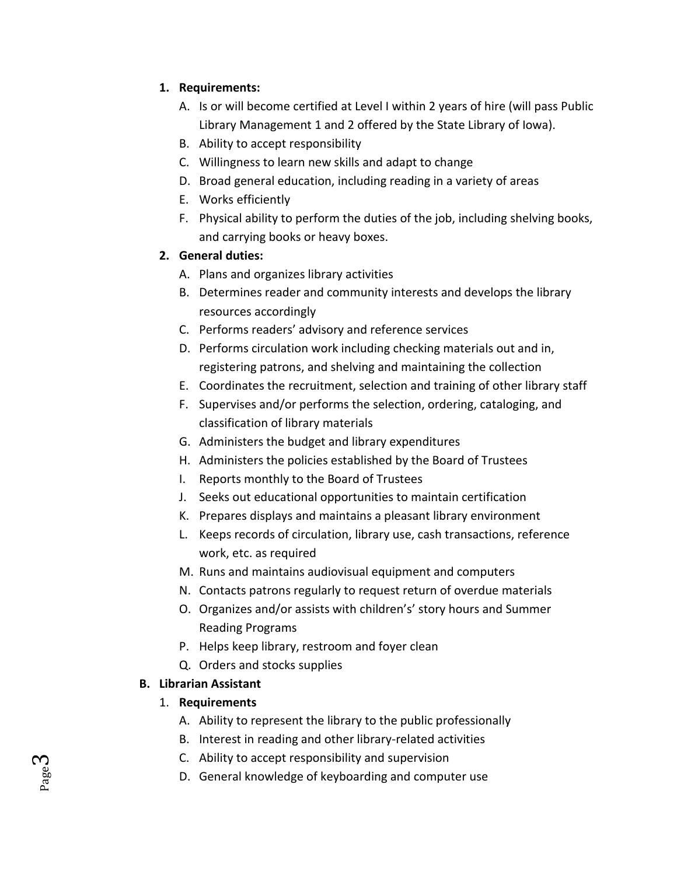## **1. Requirements:**

- A. Is or will become certified at Level I within 2 years of hire (will pass Public Library Management 1 and 2 offered by the State Library of Iowa).
- B. Ability to accept responsibility
- C. Willingness to learn new skills and adapt to change
- D. Broad general education, including reading in a variety of areas
- E. Works efficiently
- F. Physical ability to perform the duties of the job, including shelving books, and carrying books or heavy boxes.

## **2. General duties:**

- A. Plans and organizes library activities
- B. Determines reader and community interests and develops the library resources accordingly
- C. Performs readers' advisory and reference services
- D. Performs circulation work including checking materials out and in, registering patrons, and shelving and maintaining the collection
- E. Coordinates the recruitment, selection and training of other library staff
- F. Supervises and/or performs the selection, ordering, cataloging, and classification of library materials
- G. Administers the budget and library expenditures
- H. Administers the policies established by the Board of Trustees
- I. Reports monthly to the Board of Trustees
- J. Seeks out educational opportunities to maintain certification
- K. Prepares displays and maintains a pleasant library environment
- L. Keeps records of circulation, library use, cash transactions, reference work, etc. as required
- M. Runs and maintains audiovisual equipment and computers
- N. Contacts patrons regularly to request return of overdue materials
- O. Organizes and/or assists with children's' story hours and Summer Reading Programs
- P. Helps keep library, restroom and foyer clean
- Q. Orders and stocks supplies

## **B. Librarian Assistant**

Page ო

### 1. **Requirements**

- A. Ability to represent the library to the public professionally
- B. Interest in reading and other library-related activities
- C. Ability to accept responsibility and supervision
- D. General knowledge of keyboarding and computer use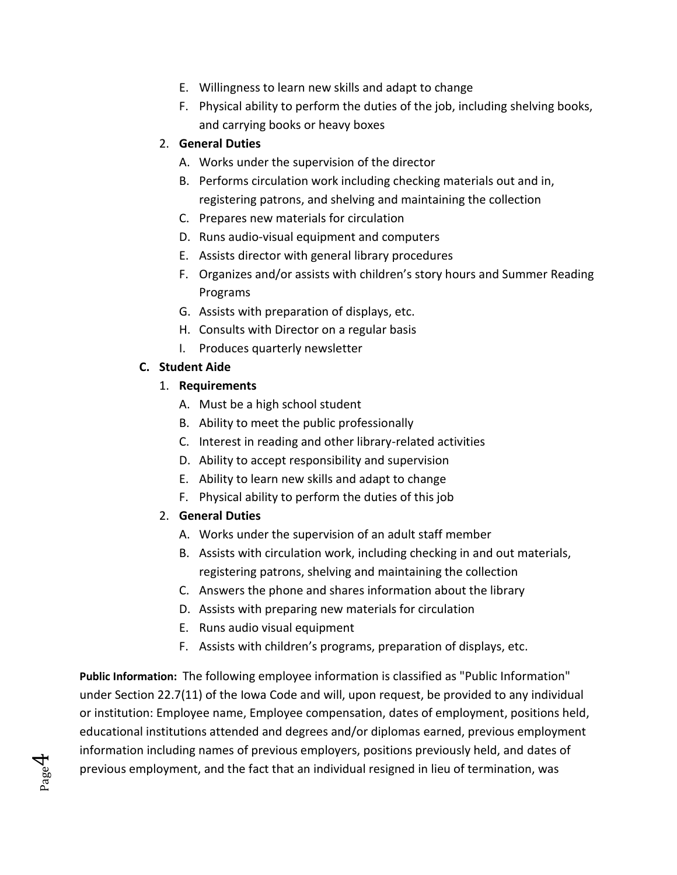- E. Willingness to learn new skills and adapt to change
- F. Physical ability to perform the duties of the job, including shelving books, and carrying books or heavy boxes

## 2. **General Duties**

- A. Works under the supervision of the director
- B. Performs circulation work including checking materials out and in, registering patrons, and shelving and maintaining the collection
- C. Prepares new materials for circulation
- D. Runs audio-visual equipment and computers
- E. Assists director with general library procedures
- F. Organizes and/or assists with children's story hours and Summer Reading Programs
- G. Assists with preparation of displays, etc.
- H. Consults with Director on a regular basis
- I. Produces quarterly newsletter

## **C. Student Aide**

## 1. **Requirements**

- A. Must be a high school student
- B. Ability to meet the public professionally
- C. Interest in reading and other library-related activities
- D. Ability to accept responsibility and supervision
- E. Ability to learn new skills and adapt to change
- F. Physical ability to perform the duties of this job

## 2. **General Duties**

Page  $\mathcal{A}$ 

- A. Works under the supervision of an adult staff member
- B. Assists with circulation work, including checking in and out materials, registering patrons, shelving and maintaining the collection
- C. Answers the phone and shares information about the library
- D. Assists with preparing new materials for circulation
- E. Runs audio visual equipment
- F. Assists with children's programs, preparation of displays, etc.

**Public Information:** The following employee information is classified as "Public Information" under Section 22.7(11) of the Iowa Code and will, upon request, be provided to any individual or institution: Employee name, Employee compensation, dates of employment, positions held, educational institutions attended and degrees and/or diplomas earned, previous employment information including names of previous employers, positions previously held, and dates of previous employment, and the fact that an individual resigned in lieu of termination, was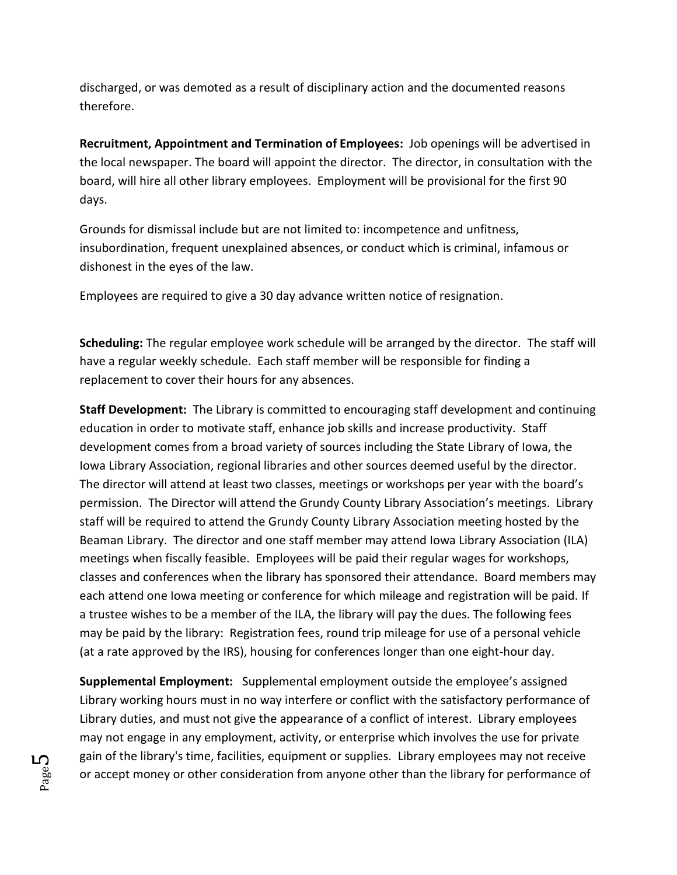discharged, or was demoted as a result of disciplinary action and the documented reasons therefore.

**Recruitment, Appointment and Termination of Employees:** Job openings will be advertised in the local newspaper. The board will appoint the director. The director, in consultation with the board, will hire all other library employees. Employment will be provisional for the first 90 days.

Grounds for dismissal include but are not limited to: incompetence and unfitness, insubordination, frequent unexplained absences, or conduct which is criminal, infamous or dishonest in the eyes of the law.

Employees are required to give a 30 day advance written notice of resignation.

**Scheduling:** The regular employee work schedule will be arranged by the director. The staff will have a regular weekly schedule. Each staff member will be responsible for finding a replacement to cover their hours for any absences.

**Staff Development:** The Library is committed to encouraging staff development and continuing education in order to motivate staff, enhance job skills and increase productivity. Staff development comes from a broad variety of sources including the State Library of Iowa, the Iowa Library Association, regional libraries and other sources deemed useful by the director. The director will attend at least two classes, meetings or workshops per year with the board's permission. The Director will attend the Grundy County Library Association's meetings. Library staff will be required to attend the Grundy County Library Association meeting hosted by the Beaman Library. The director and one staff member may attend Iowa Library Association (ILA) meetings when fiscally feasible. Employees will be paid their regular wages for workshops, classes and conferences when the library has sponsored their attendance. Board members may each attend one Iowa meeting or conference for which mileage and registration will be paid. If a trustee wishes to be a member of the ILA, the library will pay the dues. The following fees may be paid by the library: Registration fees, round trip mileage for use of a personal vehicle (at a rate approved by the IRS), housing for conferences longer than one eight-hour day.

**Supplemental Employment:** Supplemental employment outside the employee's assigned Library working hours must in no way interfere or conflict with the satisfactory performance of Library duties, and must not give the appearance of a conflict of interest. Library employees may not engage in any employment, activity, or enterprise which involves the use for private gain of the library's time, facilities, equipment or supplies. Library employees may not receive or accept money or other consideration from anyone other than the library for performance of